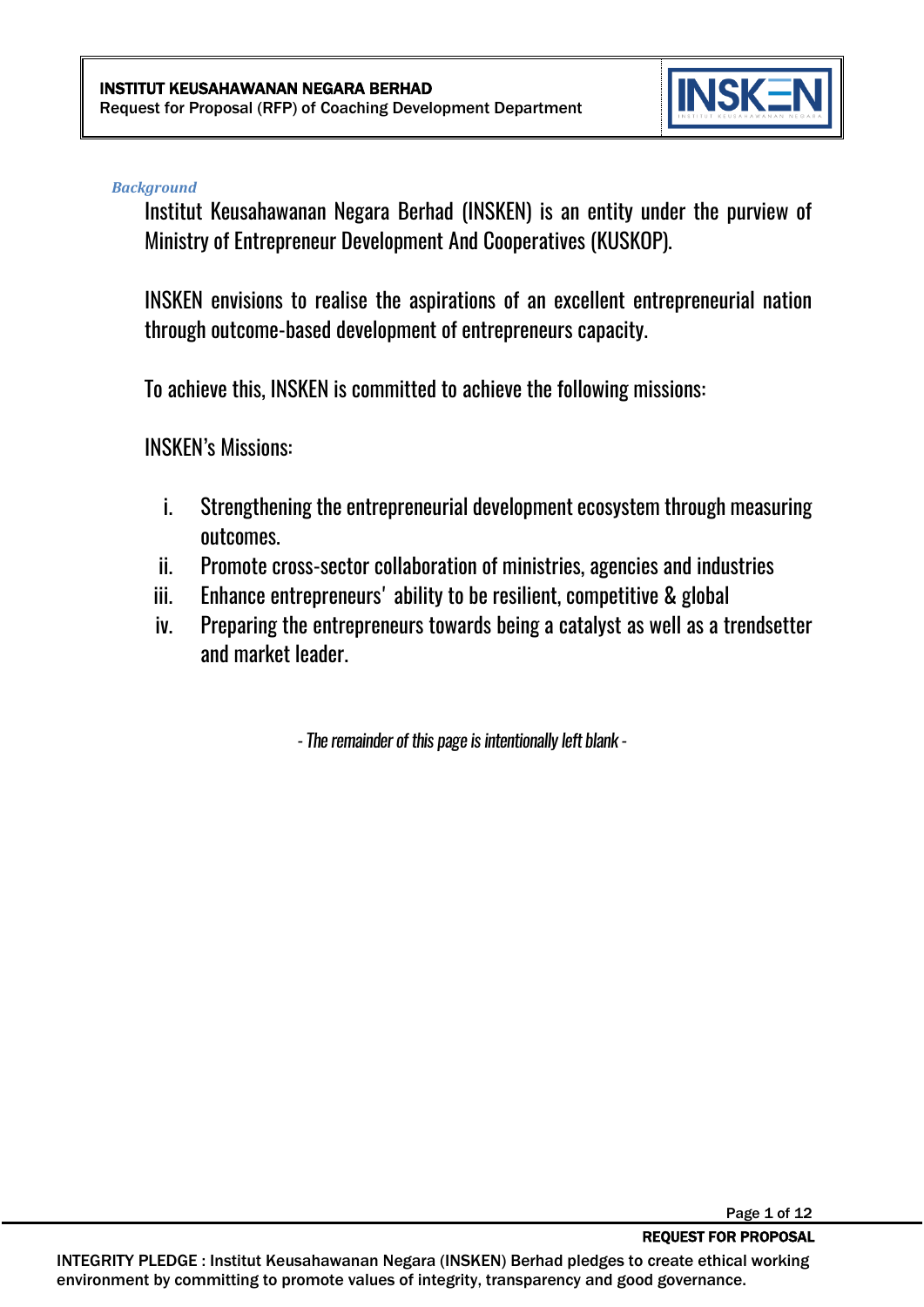

Page 1 of 12

#### *Background*

Institut Keusahawanan Negara Berhad (INSKEN) is an entity under the purview of Ministry of Entrepreneur Development And Cooperatives (KUSKOP).

INSKEN envisions to realise the aspirations of an excellent entrepreneurial nation through outcome-based development of entrepreneurs capacity.

To achieve this, INSKEN is committed to achieve the following missions:

INSKEN's Missions:

- i. Strengthening the entrepreneurial development ecosystem through measuring outcomes.
- ii. Promote cross-sector collaboration of ministries, agencies and industries
- iii. Enhance entrepreneurs' ability to be resilient, competitive & global
- iv. Preparing the entrepreneurs towards being a catalyst as well as a trendsetter and market leader.

*-The remainder of this page is intentionally left blank -*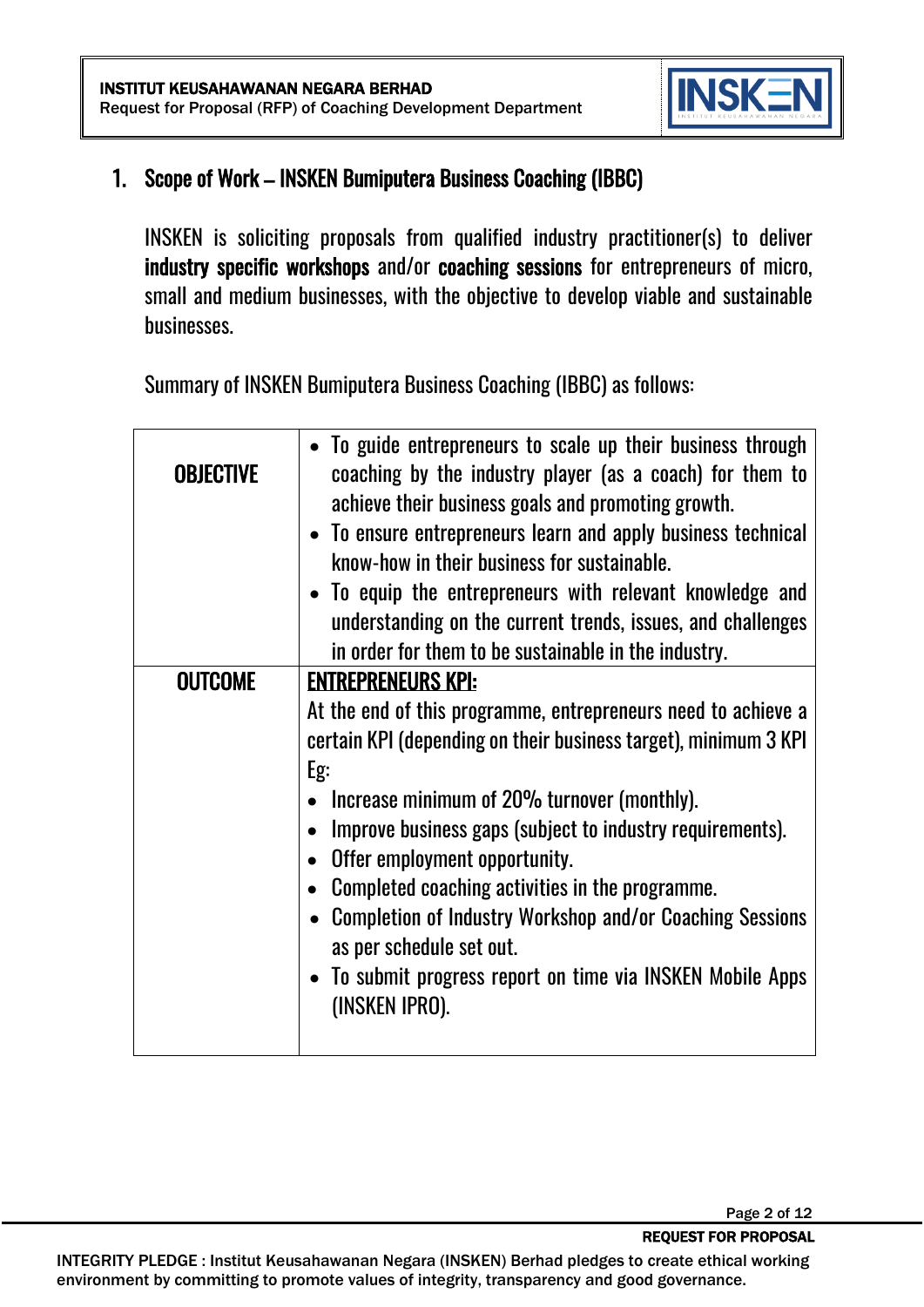

#### 1. Scope of Work – INSKEN Bumiputera Business Coaching (IBBC)

INSKEN is soliciting proposals from qualified industry practitioner(s) to deliver industry specific workshops and/or coaching sessions for entrepreneurs of micro, small and medium businesses, with the objective to develop viable and sustainable businesses.

Summary of INSKEN Bumiputera Business Coaching (IBBC) as follows:

| <b>OBJECTIVE</b> | • To guide entrepreneurs to scale up their business through<br>coaching by the industry player (as a coach) for them to<br>achieve their business goals and promoting growth.<br>• To ensure entrepreneurs learn and apply business technical<br>know-how in their business for sustainable.<br>• To equip the entrepreneurs with relevant knowledge and<br>understanding on the current trends, issues, and challenges<br>in order for them to be sustainable in the industry.                                                                     |
|------------------|-----------------------------------------------------------------------------------------------------------------------------------------------------------------------------------------------------------------------------------------------------------------------------------------------------------------------------------------------------------------------------------------------------------------------------------------------------------------------------------------------------------------------------------------------------|
| <b>OUTCOME</b>   | <b>ENTREPRENEURS KPI:</b><br>At the end of this programme, entrepreneurs need to achieve a<br>certain KPI (depending on their business target), minimum 3 KPI<br>Eg:<br>Increase minimum of 20% turnover (monthly).<br>Improve business gaps (subject to industry requirements).<br>Offer employment opportunity.<br>Completed coaching activities in the programme.<br><b>Completion of Industry Workshop and/or Coaching Sessions</b><br>as per schedule set out.<br>• To submit progress report on time via INSKEN Mobile Apps<br>(INSKEN IPRO). |

REQUEST FOR PROPOSAL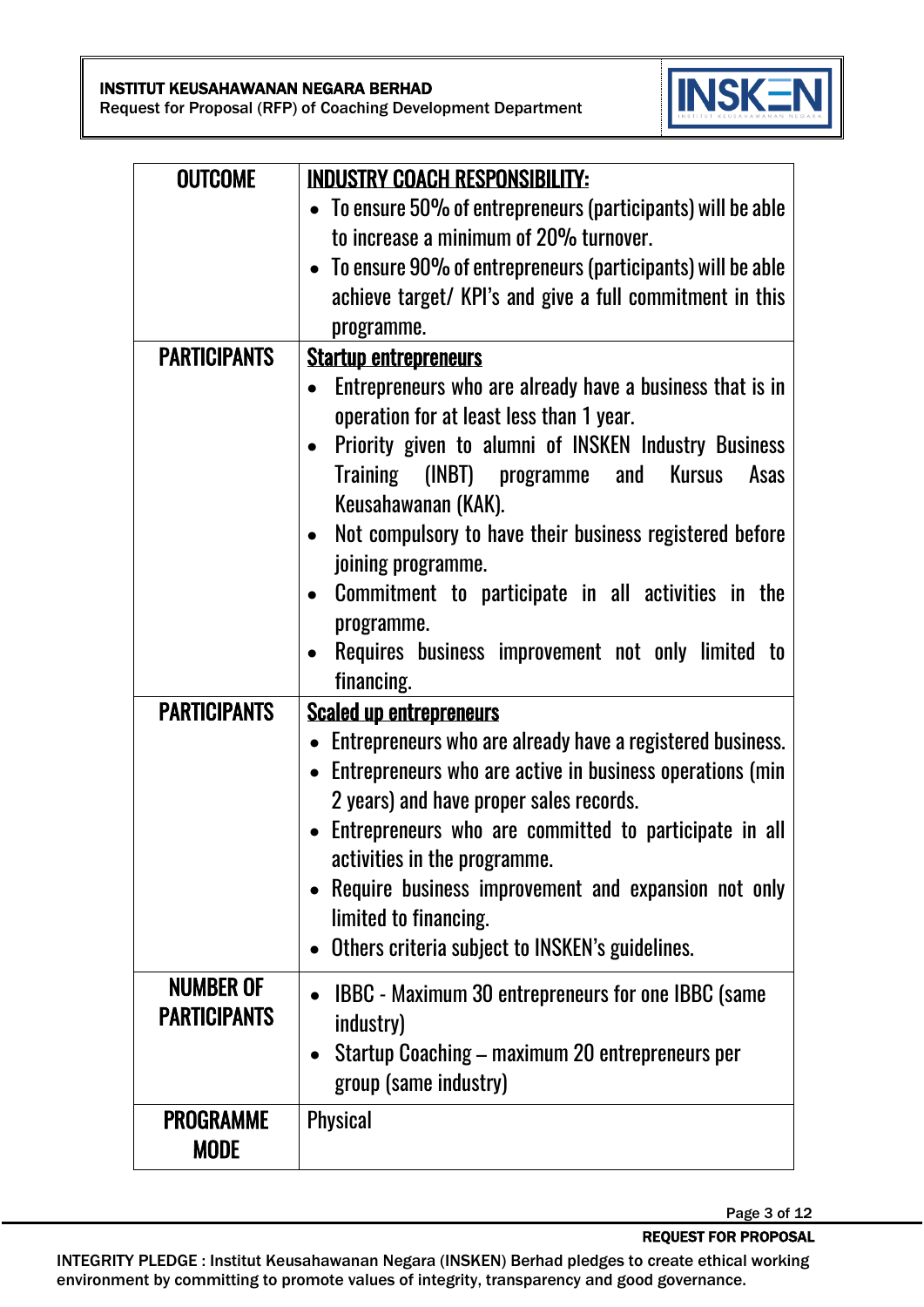#### INSTITUT KEUSAHAWANAN NEGARA BERHAD

Request for Proposal (RFP) of Coaching Development Department



| <b>OUTCOME</b>      | <b>INDUSTRY COACH RESPONSIBILITY:</b>                        |  |  |
|---------------------|--------------------------------------------------------------|--|--|
|                     | • To ensure 50% of entrepreneurs (participants) will be able |  |  |
|                     | to increase a minimum of 20% turnover.                       |  |  |
|                     | • To ensure 90% of entrepreneurs (participants) will be able |  |  |
|                     | achieve target/ KPI's and give a full commitment in this     |  |  |
|                     | programme.                                                   |  |  |
| <b>PARTICIPANTS</b> | <b>Startup entrepreneurs</b>                                 |  |  |
|                     | Entrepreneurs who are already have a business that is in     |  |  |
|                     | operation for at least less than 1 year.                     |  |  |
|                     | Priority given to alumni of INSKEN Industry Business         |  |  |
|                     | Training (INBT) programme and Kursus<br>Asas                 |  |  |
|                     | Keusahawanan (KAK).                                          |  |  |
|                     | Not compulsory to have their business registered before      |  |  |
|                     | joining programme.                                           |  |  |
|                     | Commitment to participate in all activities in the           |  |  |
|                     | programme.                                                   |  |  |
|                     | Requires business improvement not only limited to            |  |  |
|                     | financing.                                                   |  |  |
| <b>PARTICIPANTS</b> | <b>Scaled up entrepreneurs</b>                               |  |  |
|                     | • Entrepreneurs who are already have a registered business.  |  |  |
|                     | • Entrepreneurs who are active in business operations (min   |  |  |
|                     | 2 years) and have proper sales records.                      |  |  |
|                     | Entrepreneurs who are committed to participate in all        |  |  |
|                     | activities in the programme.                                 |  |  |
|                     | Require business improvement and expansion not only          |  |  |
|                     | limited to financing.                                        |  |  |
|                     | Others criteria subject to INSKEN's guidelines.              |  |  |
| <b>NUMBER OF</b>    |                                                              |  |  |
| <b>PARTICIPANTS</b> | <b>IBBC</b> - Maximum 30 entrepreneurs for one IBBC (same    |  |  |
|                     | industry)                                                    |  |  |
|                     | Startup Coaching – maximum 20 entrepreneurs per<br>$\bullet$ |  |  |
|                     | group (same industry)                                        |  |  |
| <b>PROGRAMME</b>    | <b>Physical</b>                                              |  |  |
| <b>MODE</b>         |                                                              |  |  |

Page 3 of 12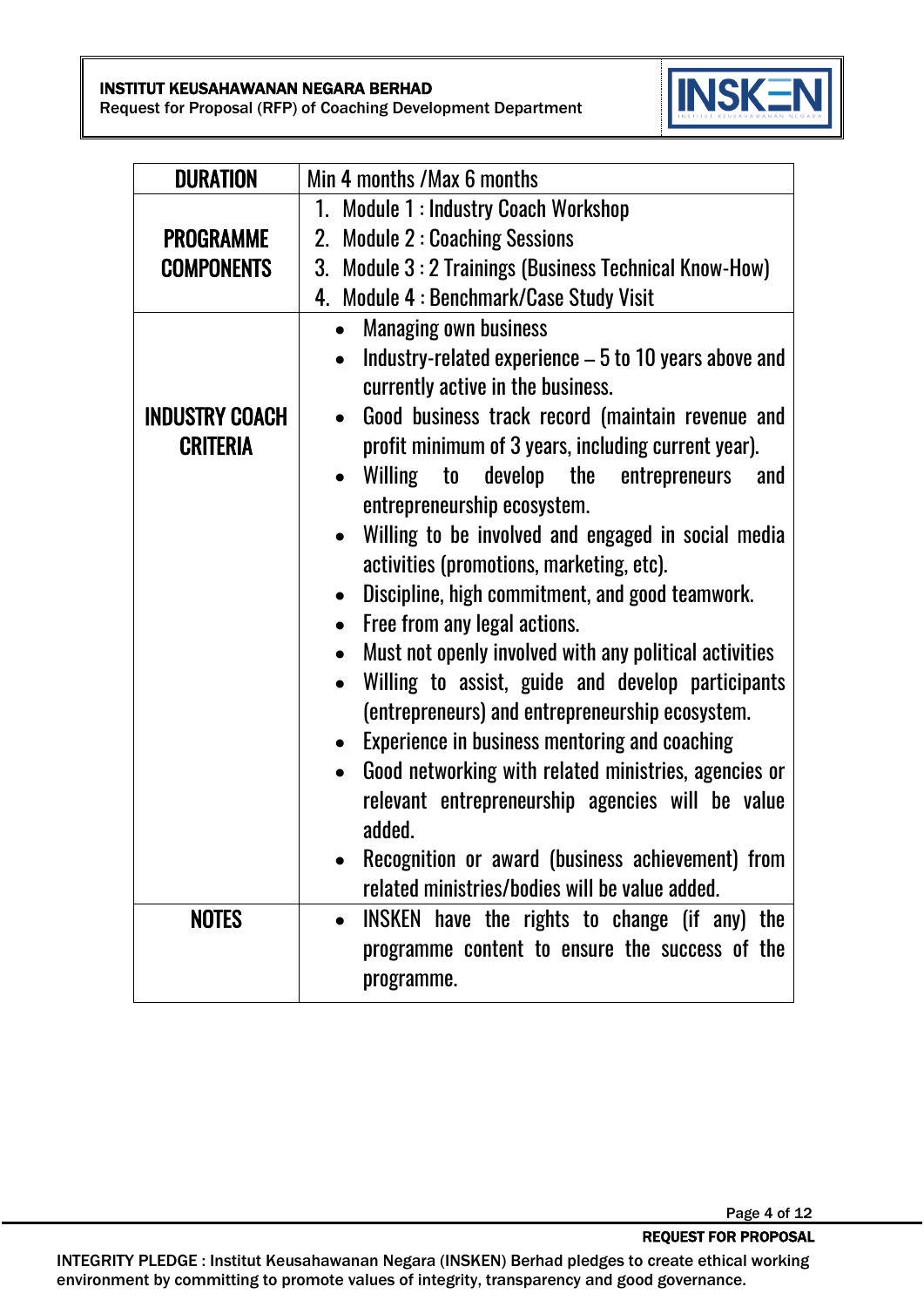#### INSTITUT KEUSAHAWANAN NEGARA BERHAD

Request for Proposal (RFP) of Coaching Development Department



| <b>DURATION</b>       | Min 4 months / Max 6 months                                                                        |  |  |  |  |
|-----------------------|----------------------------------------------------------------------------------------------------|--|--|--|--|
|                       | 1. Module 1 : Industry Coach Workshop                                                              |  |  |  |  |
| <b>PROGRAMME</b>      | 2. Module 2: Coaching Sessions                                                                     |  |  |  |  |
| <b>COMPONENTS</b>     | 3. Module 3: 2 Trainings (Business Technical Know-How)                                             |  |  |  |  |
|                       | 4. Module 4 : Benchmark/Case Study Visit                                                           |  |  |  |  |
|                       | <b>Managing own business</b>                                                                       |  |  |  |  |
|                       | Industry-related experience - 5 to 10 years above and                                              |  |  |  |  |
|                       | currently active in the business.                                                                  |  |  |  |  |
| <b>INDUSTRY COACH</b> | Good business track record (maintain revenue and                                                   |  |  |  |  |
| <b>CRITERIA</b>       | profit minimum of 3 years, including current year).                                                |  |  |  |  |
|                       | Willing to<br>develop the entrepreneurs<br>and                                                     |  |  |  |  |
|                       | entrepreneurship ecosystem.                                                                        |  |  |  |  |
|                       | Willing to be involved and engaged in social media<br>activities (promotions, marketing, etc).     |  |  |  |  |
|                       | Discipline, high commitment, and good teamwork.                                                    |  |  |  |  |
|                       |                                                                                                    |  |  |  |  |
|                       | Free from any legal actions.                                                                       |  |  |  |  |
|                       | Must not openly involved with any political activities<br>$\bullet$                                |  |  |  |  |
|                       | Willing to assist, guide and develop participants                                                  |  |  |  |  |
|                       | (entrepreneurs) and entrepreneurship ecosystem.                                                    |  |  |  |  |
|                       | Experience in business mentoring and coaching<br>$\bullet$                                         |  |  |  |  |
|                       | Good networking with related ministries, agencies or                                               |  |  |  |  |
|                       | relevant entrepreneurship agencies will be value<br>added.                                         |  |  |  |  |
|                       |                                                                                                    |  |  |  |  |
|                       | Recognition or award (business achievement) from<br>related ministries/bodies will be value added. |  |  |  |  |
| <b>NOTES</b>          | INSKEN have the rights to change (if any) the<br>$\bullet$                                         |  |  |  |  |
|                       | programme content to ensure the success of the                                                     |  |  |  |  |
|                       | programme.                                                                                         |  |  |  |  |
|                       |                                                                                                    |  |  |  |  |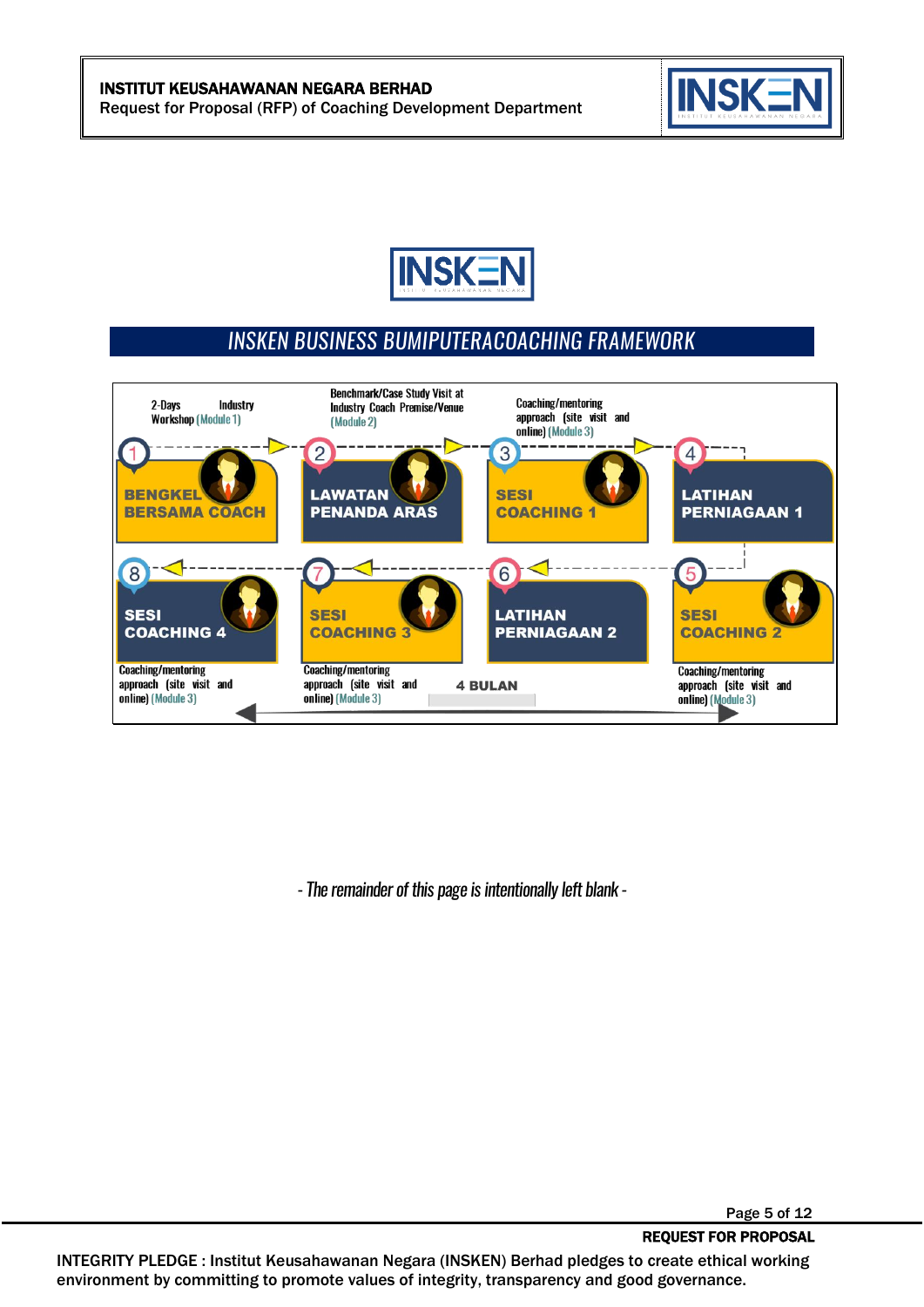



## INSKEN BUSINESS BUMIPUTERACOACHING FRAMEWORK



*-The remainder of this page is intentionally left blank -*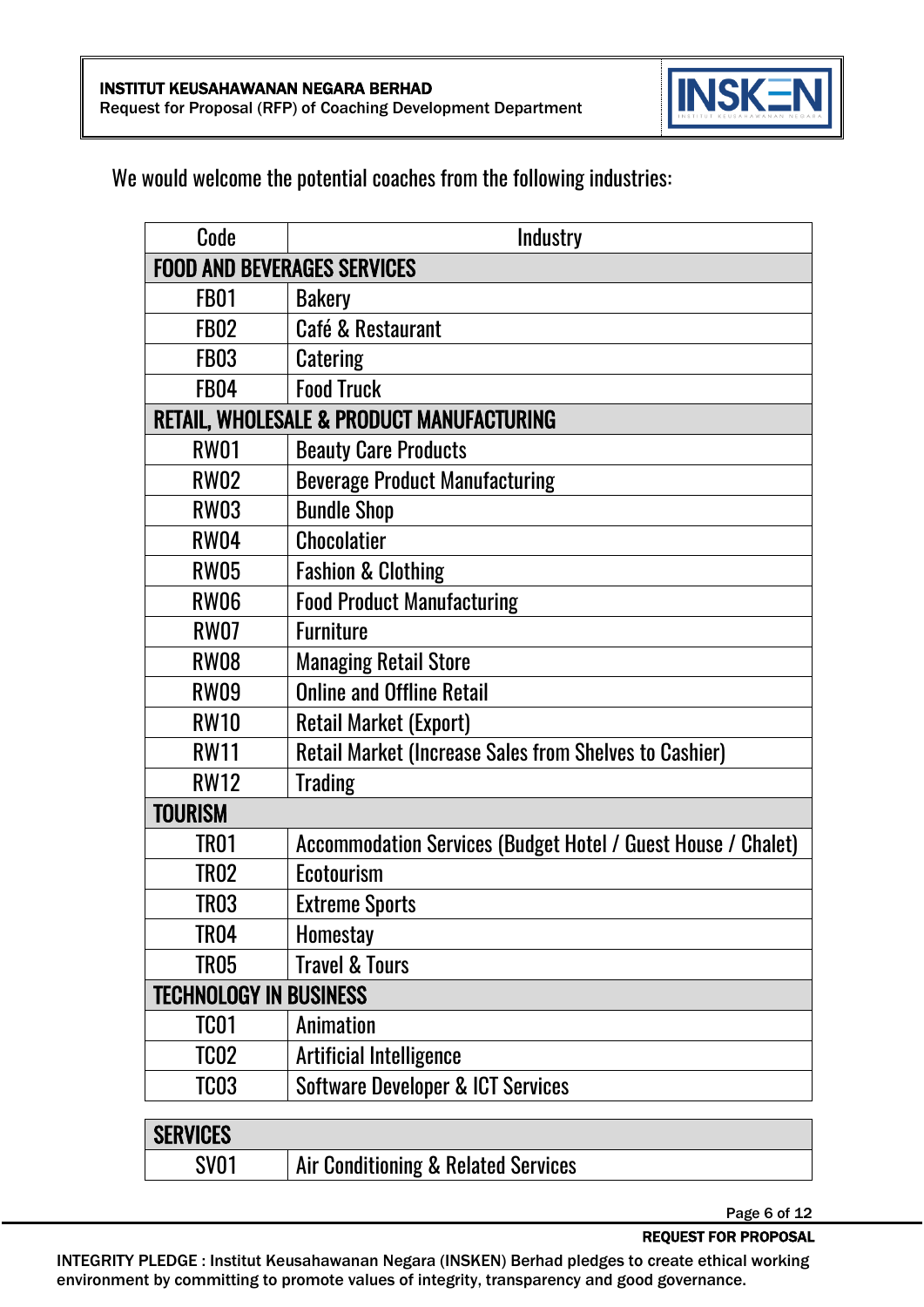

#### We would welcome the potential coaches from the following industries:

| Code                               | Industry                                                      |  |
|------------------------------------|---------------------------------------------------------------|--|
| <b>FOOD AND BEVERAGES SERVICES</b> |                                                               |  |
| FB01                               | <b>Bakery</b>                                                 |  |
| <b>FB02</b>                        | Café & Restaurant                                             |  |
| FB03                               | <b>Catering</b>                                               |  |
| <b>FB04</b>                        | <b>Food Truck</b>                                             |  |
|                                    | RETAIL, WHOLESALE & PRODUCT MANUFACTURING                     |  |
| <b>RW01</b>                        | <b>Beauty Care Products</b>                                   |  |
| <b>RW02</b>                        | <b>Beverage Product Manufacturing</b>                         |  |
| <b>RW03</b>                        | <b>Bundle Shop</b>                                            |  |
| <b>RW04</b>                        | <b>Chocolatier</b>                                            |  |
| <b>RW05</b>                        | <b>Fashion &amp; Clothing</b>                                 |  |
| <b>RW06</b>                        | <b>Food Product Manufacturing</b>                             |  |
| <b>RW07</b>                        | <b>Furniture</b>                                              |  |
| <b>RW08</b>                        | <b>Managing Retail Store</b>                                  |  |
| RW09                               | <b>Online and Offline Retail</b>                              |  |
| <b>RW10</b>                        | <b>Retail Market (Export)</b>                                 |  |
| <b>RW11</b>                        | <b>Retail Market (Increase Sales from Shelves to Cashier)</b> |  |
| <b>RW12</b>                        | <b>Trading</b>                                                |  |
| TOURISM                            |                                                               |  |
| TRO1                               | Accommodation Services (Budget Hotel / Guest House / Chalet)  |  |
| TRO2                               | Ecotourism                                                    |  |
| TRO3                               | <b>Extreme Sports</b>                                         |  |
| TRO4                               | <b>Homestay</b>                                               |  |
| TR <sub>05</sub>                   | <b>Travel &amp; Tours</b>                                     |  |
| <b>TECHNOLOGY IN BUSINESS</b>      |                                                               |  |
| TC <sub>01</sub>                   | <b>Animation</b>                                              |  |
| TCO <sub>2</sub>                   | <b>Artificial Intelligence</b>                                |  |
| TCO <sub>3</sub>                   | <b>Software Developer &amp; ICT Services</b>                  |  |
|                                    |                                                               |  |
| <b>SERVICES</b>                    |                                                               |  |
| <b>SV01</b>                        | Air Conditioning & Related Services                           |  |

Page 6 of 12

REQUEST FOR PROPOSAL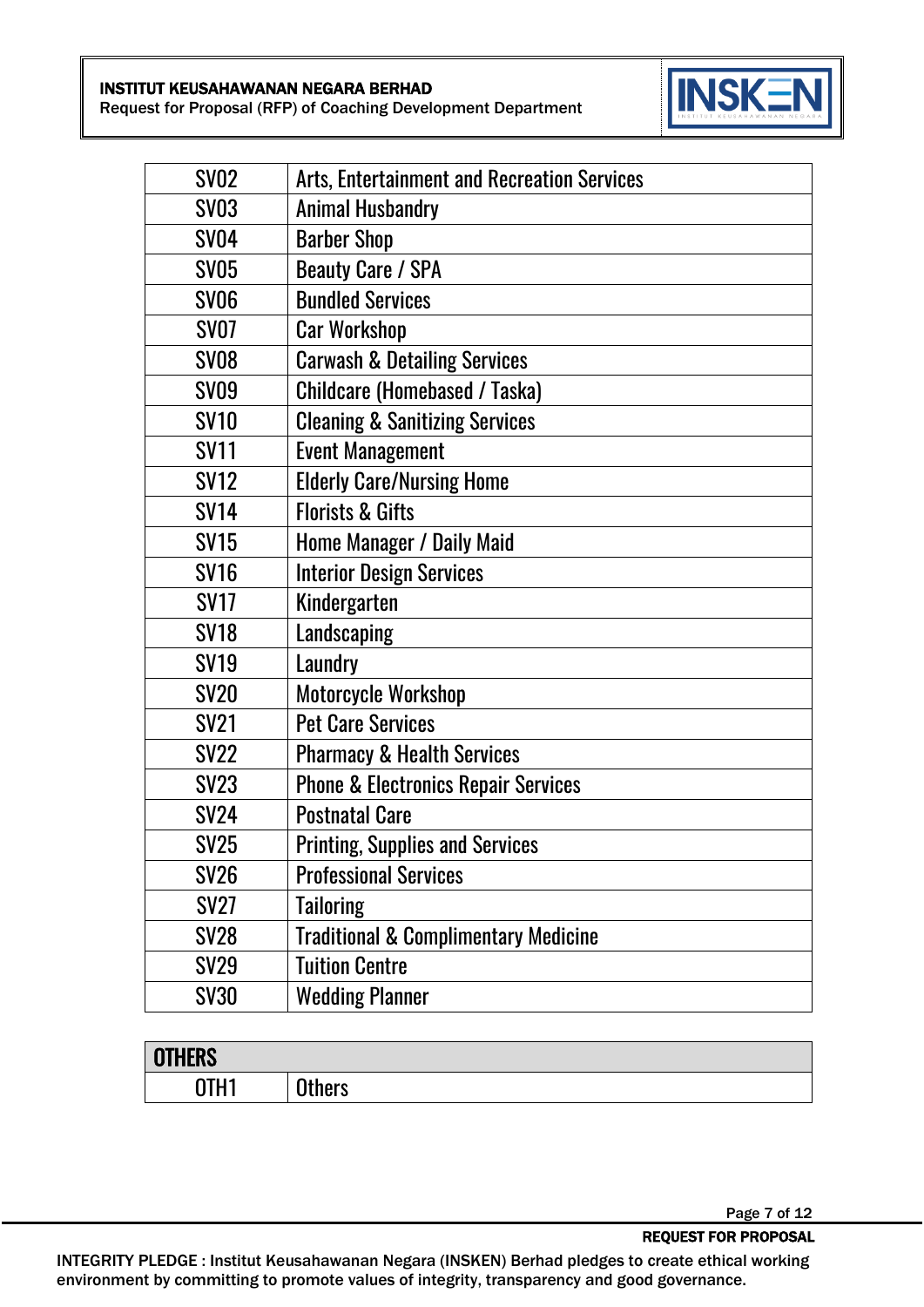Request for Proposal (RFP) of Coaching Development Department



| <b>SV02</b> | <b>Arts, Entertainment and Recreation Services</b> |
|-------------|----------------------------------------------------|
| <b>SV03</b> | <b>Animal Husbandry</b>                            |
| <b>SV04</b> | <b>Barber Shop</b>                                 |
| <b>SV05</b> | <b>Beauty Care / SPA</b>                           |
| <b>SV06</b> | <b>Bundled Services</b>                            |
| <b>SV07</b> | <b>Car Workshop</b>                                |
| <b>SV08</b> | <b>Carwash &amp; Detailing Services</b>            |
| <b>SV09</b> | <b>Childcare (Homebased / Taska)</b>               |
| <b>SV10</b> | <b>Cleaning &amp; Sanitizing Services</b>          |
| <b>SV11</b> | <b>Event Management</b>                            |
| <b>SV12</b> | <b>Elderly Care/Nursing Home</b>                   |
| <b>SV14</b> | <b>Florists &amp; Gifts</b>                        |
| <b>SV15</b> | Home Manager / Daily Maid                          |
| <b>SV16</b> | <b>Interior Design Services</b>                    |
| <b>SV17</b> | Kindergarten                                       |
| <b>SV18</b> | Landscaping                                        |
| <b>SV19</b> | Laundry                                            |
| <b>SV20</b> | <b>Motorcycle Workshop</b>                         |
| <b>SV21</b> | <b>Pet Care Services</b>                           |
| <b>SV22</b> | <b>Pharmacy &amp; Health Services</b>              |
| <b>SV23</b> | <b>Phone &amp; Electronics Repair Services</b>     |
| <b>SV24</b> | <b>Postnatal Care</b>                              |
| <b>SV25</b> | <b>Printing, Supplies and Services</b>             |
| <b>SV26</b> | <b>Professional Services</b>                       |
| <b>SV27</b> | <b>Tailoring</b>                                   |
| <b>SV28</b> | <b>Traditional &amp; Complimentary Medicine</b>    |
| <b>SV29</b> | <b>Tuition Centre</b>                              |
| <b>SV30</b> | <b>Wedding Planner</b>                             |

| <b>OTHERS</b>     |               |
|-------------------|---------------|
| <b>NTLI1</b><br>_ | <b>Others</b> |

Page 7 of 12

REQUEST FOR PROPOSAL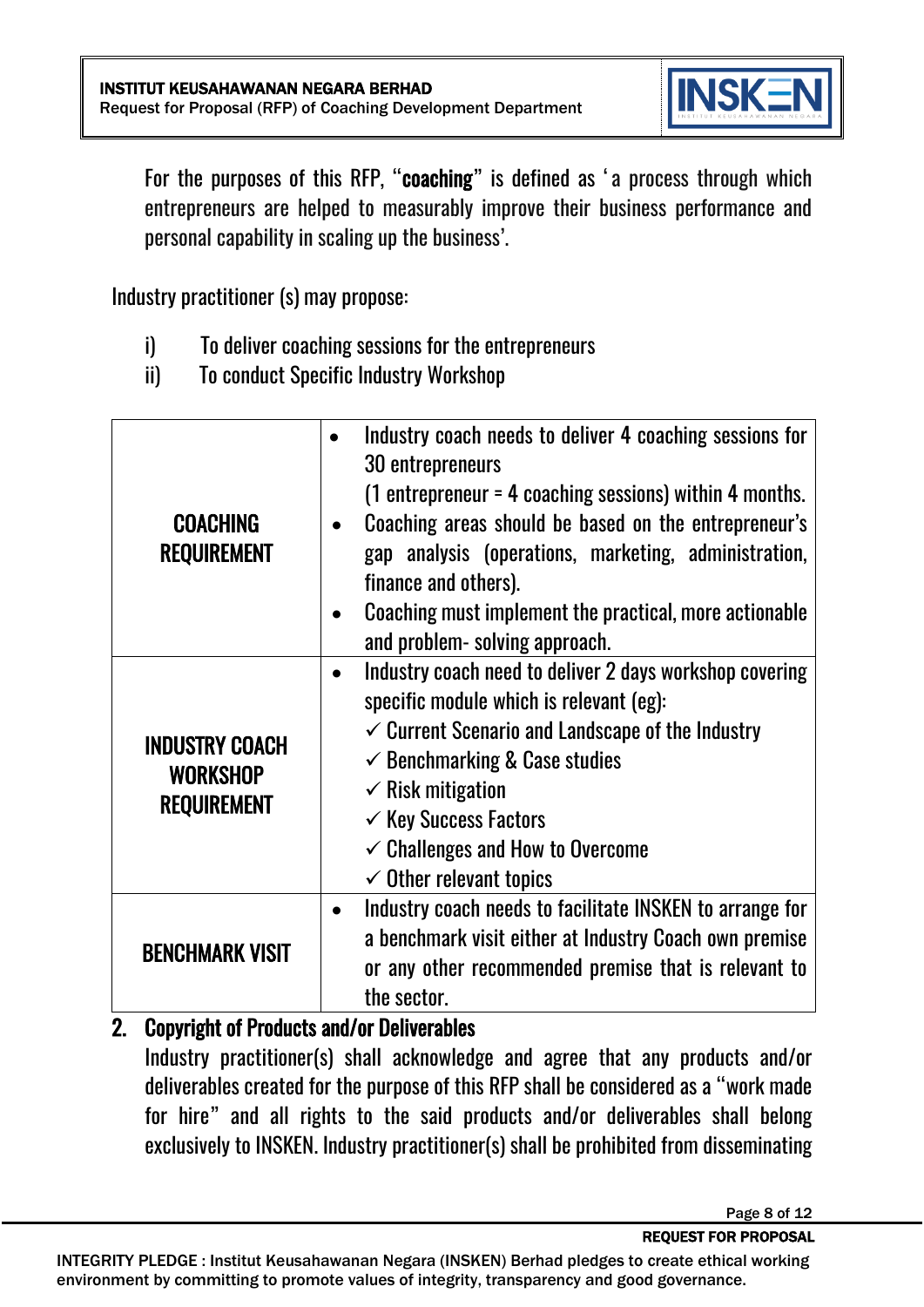

For the purposes of this RFP, "coaching" is defined as 'a process through which entrepreneurs are helped to measurably improve their business performance and personal capability in scaling up the business'.

Industry practitioner (s) may propose:

- i) To deliver coaching sessions for the entrepreneurs
- ii) To conduct Specific Industry Workshop

| <b>COACHING</b><br><b>REQUIREMENT</b>                          | Industry coach needs to deliver 4 coaching sessions for<br>30 entrepreneurs<br>$(1$ entrepreneur = 4 coaching sessions) within 4 months.<br>Coaching areas should be based on the entrepreneur's<br>gap analysis (operations, marketing, administration,<br>finance and others).<br>Coaching must implement the practical, more actionable<br>and problem- solving approach. |
|----------------------------------------------------------------|------------------------------------------------------------------------------------------------------------------------------------------------------------------------------------------------------------------------------------------------------------------------------------------------------------------------------------------------------------------------------|
| <b>INDUSTRY COACH</b><br><b>WORKSHOP</b><br><b>REQUIREMENT</b> | Industry coach need to deliver 2 days workshop covering<br>specific module which is relevant (eg):<br>$\checkmark$ Current Scenario and Landscape of the Industry<br>$\checkmark$ Benchmarking & Case studies<br>$\checkmark$ Risk mitigation<br>$\checkmark$ Key Success Factors<br>$\checkmark$ Challenges and How to Overcome<br>$\checkmark$ Other relevant topics       |
| <b>BENCHMARK VISIT</b>                                         | Industry coach needs to facilitate INSKEN to arrange for<br>$\bullet$<br>a benchmark visit either at Industry Coach own premise<br>or any other recommended premise that is relevant to<br>the sector.                                                                                                                                                                       |

#### 2. Copyright of Products and/or Deliverables

Industry practitioner(s) shall acknowledge and agree that any products and/or deliverables created for the purpose of this RFP shall be considered as a "work made for hire" and all rights to the said products and/or deliverables shall belong exclusively to INSKEN. Industry practitioner(s) shall be prohibited from disseminating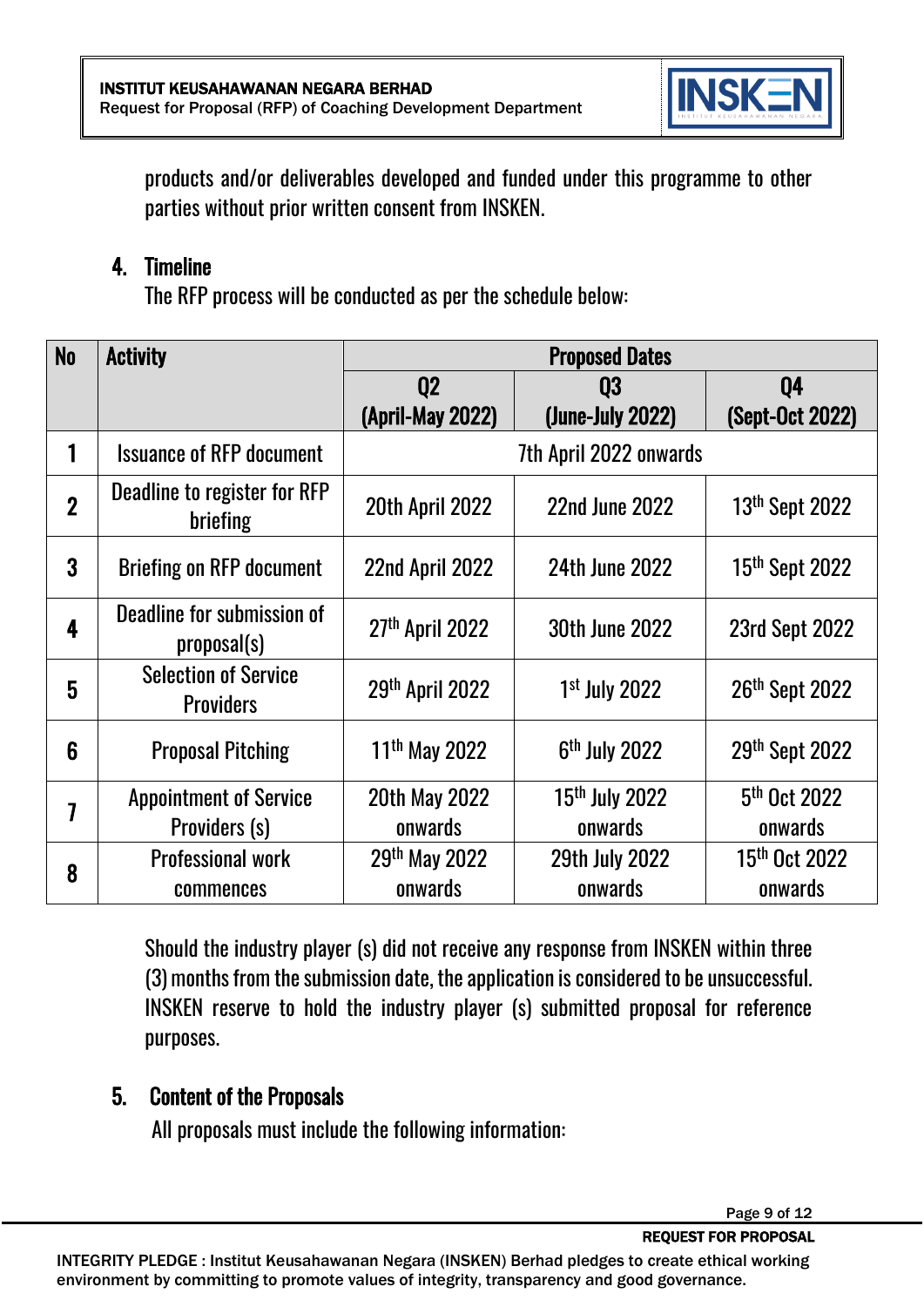

products and/or deliverables developed and funded under this programme to other parties without prior written consent from INSKEN.

#### 4. Timeline

The RFP process will be conducted as per the schedule below:

| N <sub>0</sub> | <b>Activity</b>                                 | <b>Proposed Dates</b>     |                            |                            |
|----------------|-------------------------------------------------|---------------------------|----------------------------|----------------------------|
|                |                                                 | Q <sub>2</sub>            | Q3                         | 04                         |
|                |                                                 | <b>(April-May 2022)</b>   | (June-July 2022)           | (Sept-Oct 2022)            |
|                | <b>Issuance of RFP document</b>                 | 7th April 2022 onwards    |                            |                            |
| $\overline{2}$ | Deadline to register for RFP<br>briefing        | <b>20th April 2022</b>    | <b>22nd June 2022</b>      | 13 <sup>th</sup> Sept 2022 |
| 3              | <b>Briefing on RFP document</b>                 | 22nd April 2022           | <b>24th June 2022</b>      | 15 <sup>th</sup> Sept 2022 |
| 4              | Deadline for submission of<br>proposal(s)       | 27th April 2022           | <b>30th June 2022</b>      | <b>23rd Sept 2022</b>      |
| 5              | <b>Selection of Service</b><br><b>Providers</b> | 29th April 2022           | $1st$ July 2022            | 26th Sept 2022             |
| 6              | <b>Proposal Pitching</b>                        | 11 <sup>th</sup> May 2022 | 6 <sup>th</sup> July 2022  | 29th Sept 2022             |
| 7              | <b>Appointment of Service</b>                   | <b>20th May 2022</b>      | 15 <sup>th</sup> July 2022 | 5 <sup>th</sup> Oct 2022   |
|                | Providers (s)                                   | onwards                   | onwards                    | onwards                    |
| 8              | <b>Professional work</b>                        | 29th May 2022             | <b>29th July 2022</b>      | 15 <sup>th</sup> Oct 2022  |
|                | commences                                       | onwards                   | onwards                    | onwards                    |

Should the industry player (s) did not receive any response from INSKEN within three (3) months from the submission date, the application is considered to be unsuccessful. INSKEN reserve to hold the industry player (s) submitted proposal for reference purposes.

## 5. Content of the Proposals

All proposals must include the following information: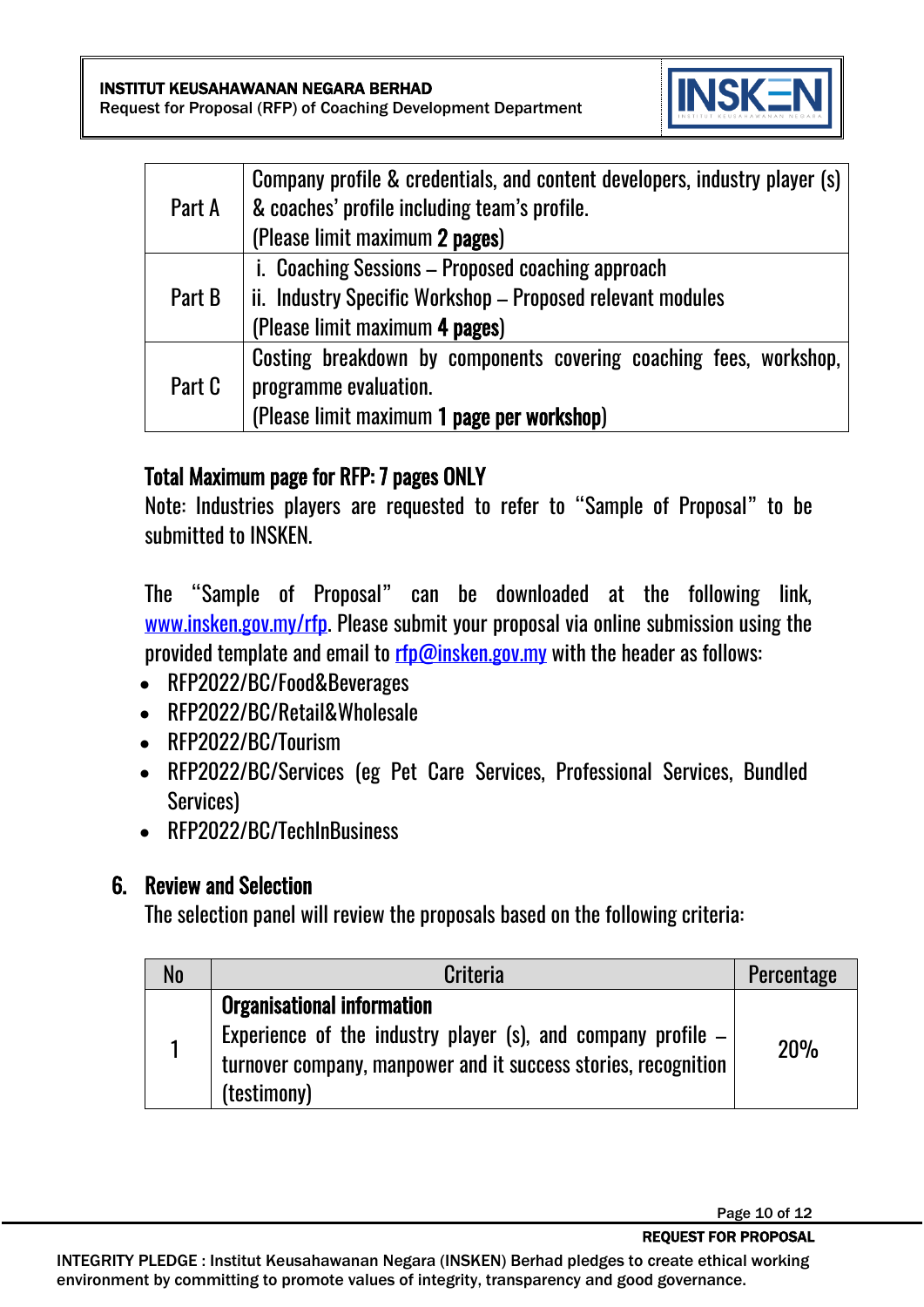

|        | Company profile & credentials, and content developers, industry player (s) |
|--------|----------------------------------------------------------------------------|
| Part A | & coaches' profile including team's profile.                               |
|        | (Please limit maximum 2 pages)                                             |
|        | i. Coaching Sessions - Proposed coaching approach                          |
| Part B | ii. Industry Specific Workshop - Proposed relevant modules                 |
|        | (Please limit maximum 4 pages)                                             |
| Part C | Costing breakdown by components covering coaching fees, workshop,          |
|        | programme evaluation.                                                      |
|        | (Please limit maximum 1 page per workshop)                                 |

#### Total Maximum page for RFP: 7 pages ONLY

Note: Industries players are requested to refer to "Sample of Proposal" to be submitted to INSKEN.

The "Sample of Proposal" can be downloaded at the following link, [www.insken.gov.my/rfp.](http://www.insken.gov.my/rfp) Please submit your proposal via online submission using the provided template and email to [rfp@insken.gov.my](mailto:rfp@insken.gov.my) with the header as follows:

- RFP2022/BC/Food&Beverages
- RFP2022/BC/Retail&Wholesale
- RFP2022/BC/Tourism
- RFP2022/BC/Services (eg Pet Care Services, Professional Services, Bundled Services)
- RFP2022/BC/TechInBusiness

## 6. Review and Selection

The selection panel will review the proposals based on the following criteria:

| N <sub>0</sub> | <b>Criteria</b>                                                                                                                                                                      | Percentage |
|----------------|--------------------------------------------------------------------------------------------------------------------------------------------------------------------------------------|------------|
|                | <b>Organisational information</b><br>Experience of the industry player (s), and company profile $-$<br>turnover company, manpower and it success stories, recognition<br>(testimony) | 20%        |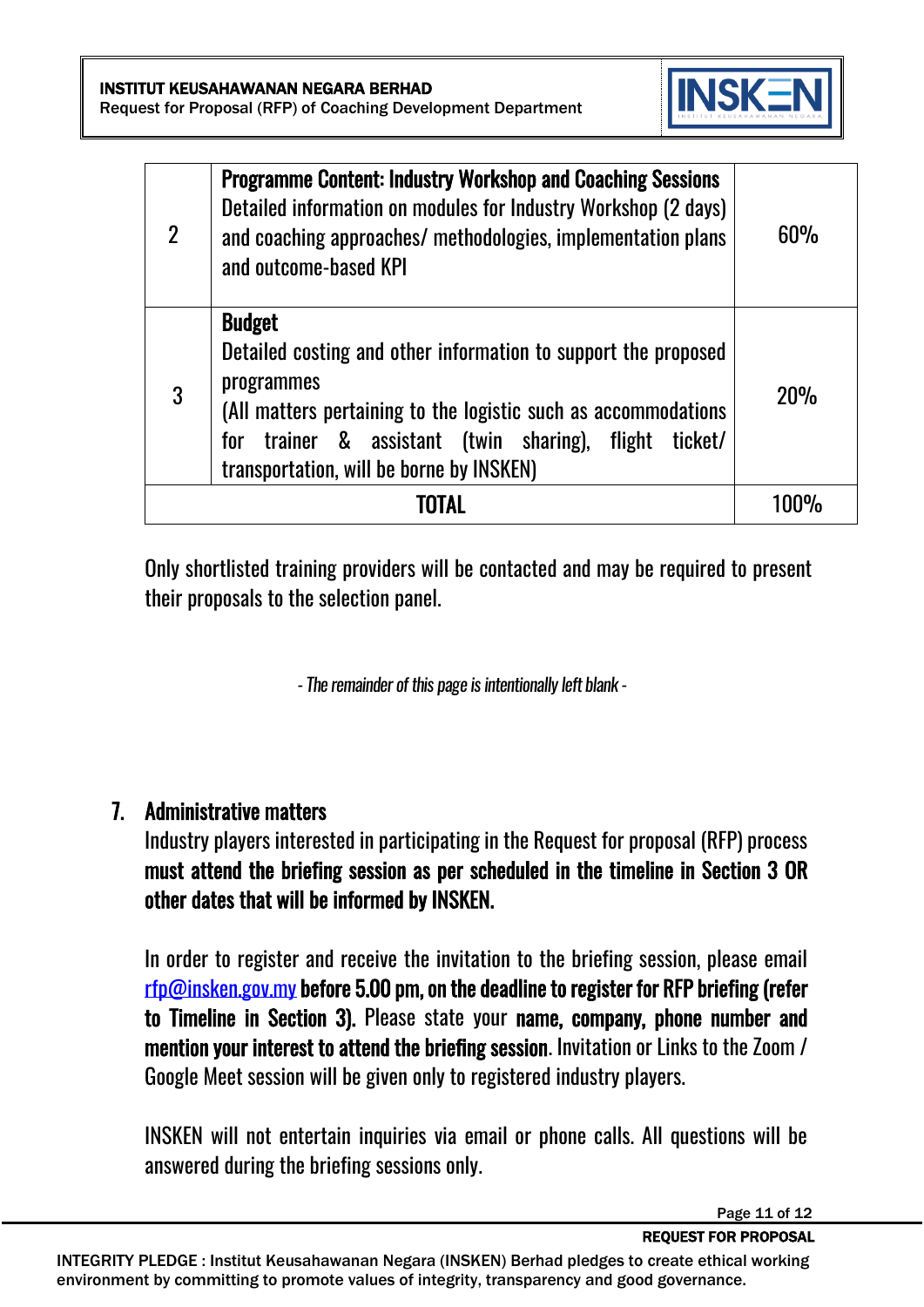

| $\overline{2}$ | <b>Programme Content: Industry Workshop and Coaching Sessions</b><br>Detailed information on modules for Industry Workshop (2 days)<br>and coaching approaches/ methodologies, implementation plans<br>and outcome-based KPI                                             | 60% |
|----------------|--------------------------------------------------------------------------------------------------------------------------------------------------------------------------------------------------------------------------------------------------------------------------|-----|
| 3              | <b>Budget</b><br>Detailed costing and other information to support the proposed<br>programmes<br>(All matters pertaining to the logistic such as accommodations<br>for trainer & assistant (twin sharing), flight<br>ticket/<br>transportation, will be borne by INSKEN) | 20% |
|                | TOTAL                                                                                                                                                                                                                                                                    |     |

Only shortlisted training providers will be contacted and may be required to present their proposals to the selection panel.

*-The remainder of this page is intentionally left blank -*

#### 7. Administrative matters

Industry players interested in participating in the Request for proposal (RFP) process must attend the briefing session as per scheduled in the timeline in Section 3 OR other dates that will be informed by INSKEN.

In order to register and receive the invitation to the briefing session, please email [rfp@insken.gov.my](mailto:rfp@insken.gov.my) before 5.00 pm, on the deadline to register for RFP briefing (refer to Timeline in Section 3). Please state your name, company, phone number and mention your interest to attend the briefing session. Invitation or Links to the Zoom / Google Meet session will be given only to registered industry players.

INSKEN will not entertain inquiries via email or phone calls. All questions will be answered during the briefing sessions only.